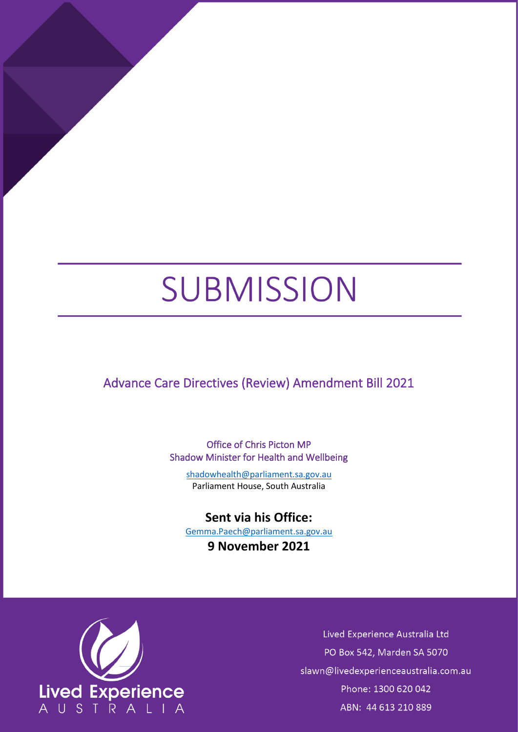# SUBMISSION

Advance Care Directives (Review) Amendment Bill 2021

Office of Chris Picton MP Shadow Minister for Health and Wellbeing

[shadowhealth@parliament.sa.gov.au](mailto:shadowhealth@parliament.sa.gov.au) Parliament House, South Australia

# **Sent via his Office:**

[Gemma.Paech@parliament.sa.gov.au](mailto:Gemma.Paech@parliament.sa.gov.au)

**9 November 2021**



Lived Experience Australia Ltd PO Box 542, Marden SA 5070 slawn@livedexperienceaustralia.com.au Phone: 1300 620 042 ABN: 44 613 210 889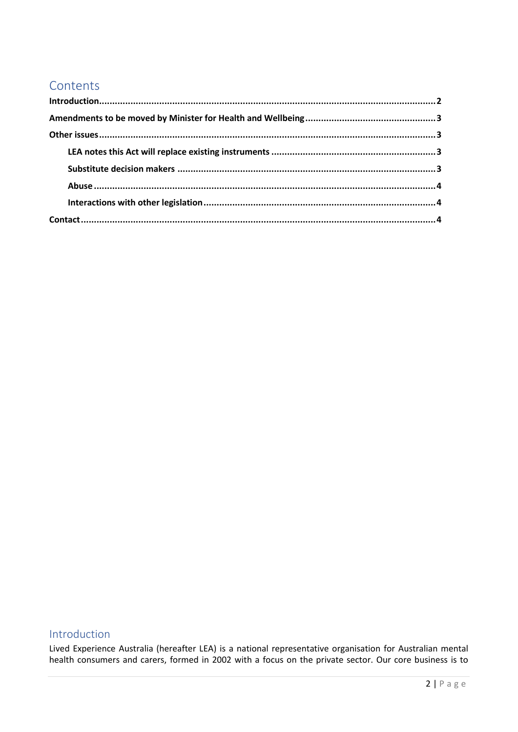# Contents

# <span id="page-1-0"></span>Introduction

Lived Experience Australia (hereafter LEA) is a national representative organisation for Australian mental health consumers and carers, formed in 2002 with a focus on the private sector. Our core business is to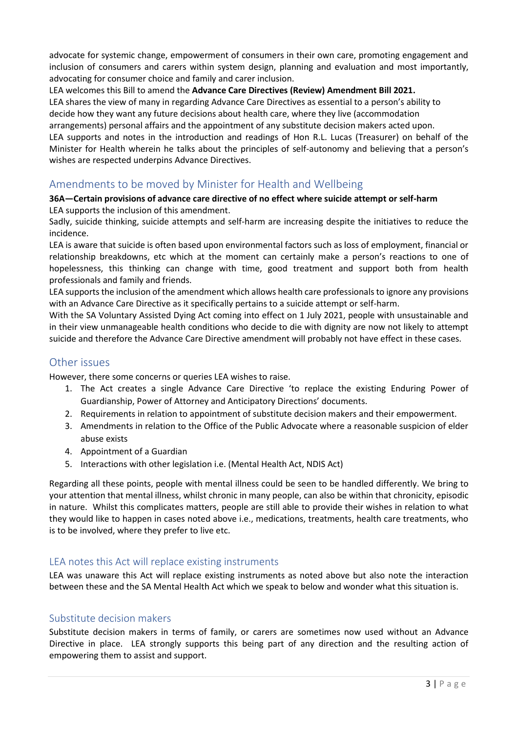advocate for systemic change, empowerment of consumers in their own care, promoting engagement and inclusion of consumers and carers within system design, planning and evaluation and most importantly, advocating for consumer choice and family and carer inclusion.

LEA welcomes this Bill to amend the **Advance Care Directives (Review) Amendment Bill 2021.**

LEA shares the view of many in regarding Advance Care Directives as essential to a person's ability to decide how they want any future decisions about health care, where they live (accommodation

arrangements) personal affairs and the appointment of any substitute decision makers acted upon.

LEA supports and notes in the introduction and readings of Hon R.L. Lucas (Treasurer) on behalf of the Minister for Health wherein he talks about the principles of self-autonomy and believing that a person's wishes are respected underpins Advance Directives.

## <span id="page-2-0"></span>Amendments to be moved by Minister for Health and Wellbeing

#### **36A—Certain provisions of advance care directive of no effect where suicide attempt or self-harm** LEA supports the inclusion of this amendment.

Sadly, suicide thinking, suicide attempts and self-harm are increasing despite the initiatives to reduce the incidence.

LEA is aware that suicide is often based upon environmental factors such as loss of employment, financial or relationship breakdowns, etc which at the moment can certainly make a person's reactions to one of hopelessness, this thinking can change with time, good treatment and support both from health professionals and family and friends.

LEA supports the inclusion of the amendment which allows health care professionals to ignore any provisions with an Advance Care Directive as it specifically pertains to a suicide attempt or self-harm.

With the SA Voluntary Assisted Dying Act coming into effect on 1 July 2021, people with unsustainable and in their view unmanageable health conditions who decide to die with dignity are now not likely to attempt suicide and therefore the Advance Care Directive amendment will probably not have effect in these cases.

# <span id="page-2-1"></span>Other issues

However, there some concerns or queries LEA wishes to raise.

- 1. The Act creates a single Advance Care Directive 'to replace the existing Enduring Power of Guardianship, Power of Attorney and Anticipatory Directions' documents.
- 2. Requirements in relation to appointment of substitute decision makers and their empowerment.
- 3. Amendments in relation to the Office of the Public Advocate where a reasonable suspicion of elder abuse exists
- 4. Appointment of a Guardian
- 5. Interactions with other legislation i.e. (Mental Health Act, NDIS Act)

Regarding all these points, people with mental illness could be seen to be handled differently. We bring to your attention that mental illness, whilst chronic in many people, can also be within that chronicity, episodic in nature. Whilst this complicates matters, people are still able to provide their wishes in relation to what they would like to happen in cases noted above i.e., medications, treatments, health care treatments, who is to be involved, where they prefer to live etc.

### <span id="page-2-2"></span>LEA notes this Act will replace existing instruments

LEA was unaware this Act will replace existing instruments as noted above but also note the interaction between these and the SA Mental Health Act which we speak to below and wonder what this situation is.

### <span id="page-2-3"></span>Substitute decision makers

Substitute decision makers in terms of family, or carers are sometimes now used without an Advance Directive in place. LEA strongly supports this being part of any direction and the resulting action of empowering them to assist and support.